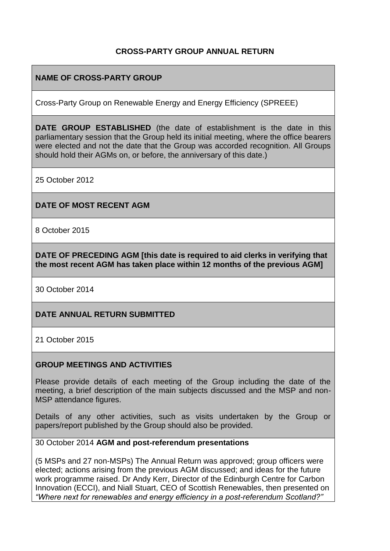#### **CROSS-PARTY GROUP ANNUAL RETURN**

#### **NAME OF CROSS-PARTY GROUP**

Cross-Party Group on Renewable Energy and Energy Efficiency (SPREEE)

**DATE GROUP ESTABLISHED** (the date of establishment is the date in this parliamentary session that the Group held its initial meeting, where the office bearers were elected and not the date that the Group was accorded recognition. All Groups should hold their AGMs on, or before, the anniversary of this date.)

25 October 2012

#### **DATE OF MOST RECENT AGM**

8 October 2015

**DATE OF PRECEDING AGM [this date is required to aid clerks in verifying that the most recent AGM has taken place within 12 months of the previous AGM]**

30 October 2014

#### **DATE ANNUAL RETURN SUBMITTED**

21 October 2015

#### **GROUP MEETINGS AND ACTIVITIES**

Please provide details of each meeting of the Group including the date of the meeting, a brief description of the main subjects discussed and the MSP and non-MSP attendance figures.

Details of any other activities, such as visits undertaken by the Group or papers/report published by the Group should also be provided.

#### 30 October 2014 **AGM and post-referendum presentations**

(5 MSPs and 27 non-MSPs) The Annual Return was approved; group officers were elected; actions arising from the previous AGM discussed; and ideas for the future work programme raised. Dr Andy Kerr, Director of the Edinburgh Centre for Carbon Innovation (ECCI), and Niall Stuart, CEO of Scottish Renewables, then presented on *"Where next for renewables and energy efficiency in a post-referendum Scotland?"*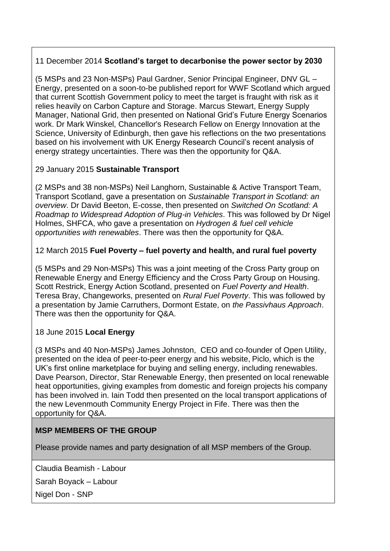## 11 December 2014 **Scotland's target to decarbonise the power sector by 2030**

(5 MSPs and 23 Non-MSPs) Paul Gardner, Senior Principal Engineer, DNV GL – Energy, presented on a soon-to-be published report for WWF Scotland which argued that current Scottish Government policy to meet the target is fraught with risk as it relies heavily on Carbon Capture and Storage. Marcus Stewart, Energy Supply Manager, National Grid, then presented on National Grid's Future Energy Scenarios work. Dr Mark Winskel, Chancellor's Research Fellow on Energy Innovation at the Science, University of Edinburgh, then gave his reflections on the two presentations based on his involvement with UK Energy Research Council's recent analysis of energy strategy uncertainties. There was then the opportunity for Q&A.

## 29 January 2015 **Sustainable Transport**

(2 MSPs and 38 non-MSPs) Neil Langhorn, Sustainable & Active Transport Team, Transport Scotland, gave a presentation on *Sustainable Transport in Scotland: an overview*. Dr David Beeton, E-cosse, then presented on *Switched On Scotland: A Roadmap to Widespread Adoption of Plug-in Vehicles*. This was followed by Dr Nigel Holmes, SHFCA, who gave a presentation on *Hydrogen & fuel cell vehicle opportunities with renewables*. There was then the opportunity for Q&A.

## 12 March 2015 **Fuel Poverty – fuel poverty and health, and rural fuel poverty**

(5 MSPs and 29 Non-MSPs) This was a joint meeting of the Cross Party group on Renewable Energy and Energy Efficiency and the Cross Party Group on Housing. Scott Restrick, Energy Action Scotland, presented on *Fuel Poverty and Health*. Teresa Bray, Changeworks, presented on *Rural Fuel Poverty*. This was followed by a presentation by Jamie Carruthers, Dormont Estate, on *the Passivhaus Approach*. There was then the opportunity for Q&A.

### 18 June 2015 **Local Energy**

(3 MSPs and 40 Non-MSPs) James Johnston, CEO and co-founder of Open Utility, presented on the idea of peer-to-peer energy and his website, Piclo, which is the UK's first online marketplace for buying and selling energy, including renewables. Dave Pearson, Director, Star Renewable Energy, then presented on local renewable heat opportunities, giving examples from domestic and foreign projects his company has been involved in. Iain Todd then presented on the local transport applications of the new Levenmouth Community Energy Project in Fife. There was then the opportunity for Q&A.

# **MSP MEMBERS OF THE GROUP**

Please provide names and party designation of all MSP members of the Group.

Claudia Beamish - Labour

Sarah Boyack – Labour

Nigel Don - SNP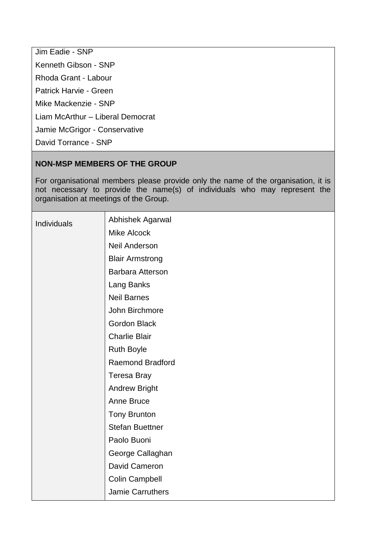Jim Eadie - SNP Kenneth Gibson - SNP Rhoda Grant - Labour Patrick Harvie - Green Mike Mackenzie - SNP Liam McArthur – Liberal Democrat Jamie McGrigor - Conservative David Torrance - SNP

### **NON-MSP MEMBERS OF THE GROUP**

For organisational members please provide only the name of the organisation, it is not necessary to provide the name(s) of individuals who may represent the organisation at meetings of the Group.

| Individuals | Abhishek Agarwal        |
|-------------|-------------------------|
|             | <b>Mike Alcock</b>      |
|             | <b>Neil Anderson</b>    |
|             | <b>Blair Armstrong</b>  |
|             | Barbara Atterson        |
|             | Lang Banks              |
|             | <b>Neil Barnes</b>      |
|             | John Birchmore          |
|             | <b>Gordon Black</b>     |
|             | <b>Charlie Blair</b>    |
|             | <b>Ruth Boyle</b>       |
|             | <b>Raemond Bradford</b> |
|             | <b>Teresa Bray</b>      |
|             | <b>Andrew Bright</b>    |
|             | Anne Bruce              |
|             | <b>Tony Brunton</b>     |
|             | <b>Stefan Buettner</b>  |
|             | Paolo Buoni             |
|             | George Callaghan        |
|             | David Cameron           |
|             | <b>Colin Campbell</b>   |
|             | <b>Jamie Carruthers</b> |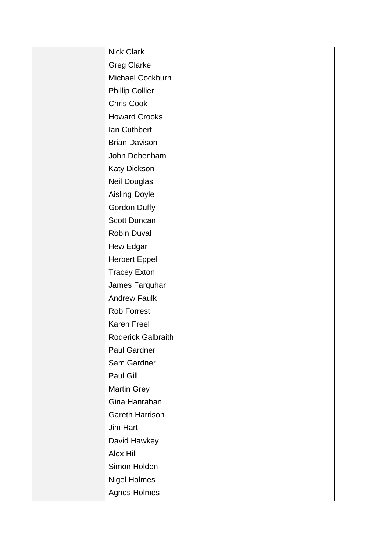| Nick Clark                |
|---------------------------|
| <b>Greg Clarke</b>        |
| Michael Cockburn          |
| <b>Phillip Collier</b>    |
| Chris Cook                |
| <b>Howard Crooks</b>      |
| Ian Cuthbert              |
| <b>Brian Davison</b>      |
| John Debenham             |
| <b>Katy Dickson</b>       |
| Neil Douglas              |
| <b>Aisling Doyle</b>      |
| Gordon Duffy              |
| Scott Duncan              |
| Robin Duval               |
| Hew Edgar                 |
| <b>Herbert Eppel</b>      |
| <b>Tracey Exton</b>       |
| James Farquhar            |
| <b>Andrew Faulk</b>       |
| <b>Rob Forrest</b>        |
| Karen Freel               |
| <b>Roderick Galbraith</b> |
| Paul Gardner              |
| Sam Gardner               |
| Paul Gill                 |
| <b>Martin Grey</b>        |
| Gina Hanrahan             |
| <b>Gareth Harrison</b>    |
| Jim Hart                  |
| David Hawkey              |
| <b>Alex Hill</b>          |
| Simon Holden              |
| <b>Nigel Holmes</b>       |
| <b>Agnes Holmes</b>       |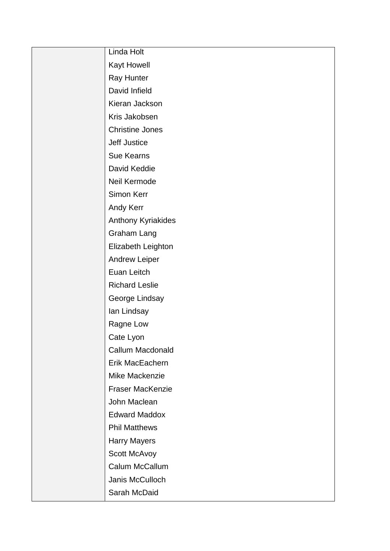| Linda Holt             |
|------------------------|
| Kayt Howell            |
| Ray Hunter             |
| David Infield          |
| Kieran Jackson         |
| Kris Jakobsen          |
| <b>Christine Jones</b> |
| <b>Jeff Justice</b>    |
| <b>Sue Kearns</b>      |
| David Keddie           |
| Neil Kermode           |
| Simon Kerr             |
| Andy Kerr              |
| Anthony Kyriakides     |
| Graham Lang            |
| Elizabeth Leighton     |
| <b>Andrew Leiper</b>   |
| Euan Leitch            |
| <b>Richard Leslie</b>  |
| George Lindsay         |
| Ian Lindsay            |
| Ragne Low              |
| Cate Lyon              |
| Callum Macdonald       |
| Erik MacEachern        |
| Mike Mackenzie         |
| Fraser MacKenzie       |
| John Maclean           |
| <b>Edward Maddox</b>   |
| <b>Phil Matthews</b>   |
| <b>Harry Mayers</b>    |
| Scott McAvoy           |
| Calum McCallum         |
| Janis McCulloch        |
| Sarah McDaid           |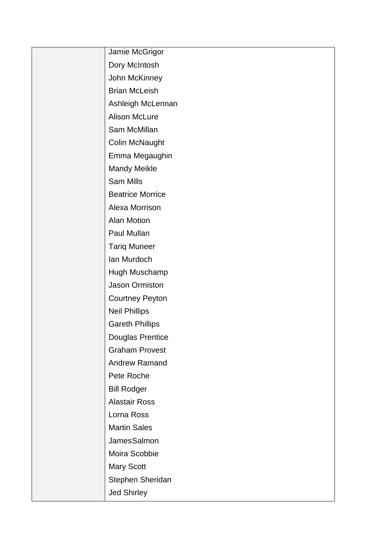| Jamie McGrigor          |
|-------------------------|
| Dory McIntosh           |
| John McKinney           |
| <b>Brian McLeish</b>    |
| Ashleigh McLennan       |
| <b>Alison McLure</b>    |
| Sam McMillan            |
| Colin McNaught          |
| Emma Megaughin          |
| <b>Mandy Meikle</b>     |
| Sam Mills               |
| <b>Beatrice Morrice</b> |
| Alexa Morrison          |
| <b>Alan Motion</b>      |
| Paul Mullan             |
| <b>Tariq Muneer</b>     |
| Ian Murdoch             |
| Hugh Muschamp           |
| Jason Ormiston          |
| <b>Courtney Peyton</b>  |
| <b>Neil Phillips</b>    |
| <b>Gareth Phillips</b>  |
| <b>Douglas Prentice</b> |
| <b>Graham Provest</b>   |
| <b>Andrew Ramand</b>    |
| Pete Roche              |
| <b>Bill Rodger</b>      |
| <b>Alastair Ross</b>    |
| Lorna Ross              |
| <b>Martin Sales</b>     |
| JamesSalmon             |
| Moira Scobbie           |
| <b>Mary Scott</b>       |
| Stephen Sheridan        |
| <b>Jed Shirley</b>      |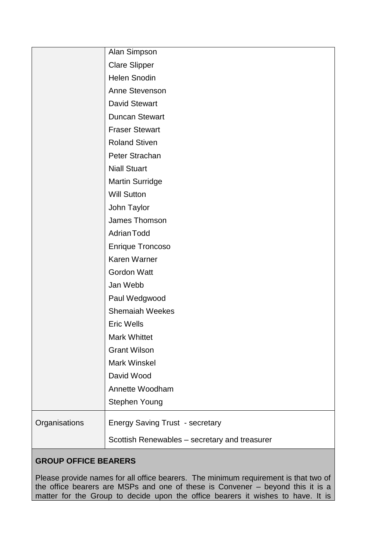|               | Alan Simpson                                  |
|---------------|-----------------------------------------------|
|               | <b>Clare Slipper</b>                          |
|               | <b>Helen Snodin</b>                           |
|               | Anne Stevenson                                |
|               | <b>David Stewart</b>                          |
|               | <b>Duncan Stewart</b>                         |
|               | <b>Fraser Stewart</b>                         |
|               | <b>Roland Stiven</b>                          |
|               | Peter Strachan                                |
|               | <b>Niall Stuart</b>                           |
|               | <b>Martin Surridge</b>                        |
|               | <b>Will Sutton</b>                            |
|               | John Taylor                                   |
|               | James Thomson                                 |
|               | <b>Adrian Todd</b>                            |
|               | <b>Enrique Troncoso</b>                       |
|               | Karen Warner                                  |
|               | <b>Gordon Watt</b>                            |
|               | Jan Webb                                      |
|               | Paul Wedgwood                                 |
|               | <b>Shemaiah Weekes</b>                        |
|               | <b>Eric Wells</b>                             |
|               | <b>Mark Whittet</b>                           |
|               | <b>Grant Wilson</b>                           |
|               | <b>Mark Winskel</b>                           |
|               | David Wood                                    |
|               | Annette Woodham                               |
|               | Stephen Young                                 |
| Organisations | <b>Energy Saving Trust - secretary</b>        |
|               | Scottish Renewables - secretary and treasurer |

# **GROUP OFFICE BEARERS**

Please provide names for all office bearers. The minimum requirement is that two of the office bearers are MSPs and one of these is Convener – beyond this it is a matter for the Group to decide upon the office bearers it wishes to have. It is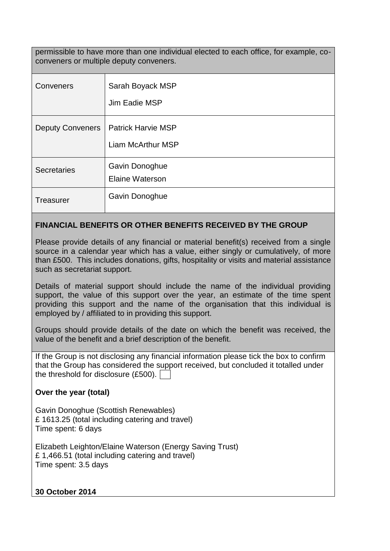permissible to have more than one individual elected to each office, for example, coconveners or multiple deputy conveners.

| Conveners               | Sarah Boyack MSP<br>Jim Eadie MSP              |
|-------------------------|------------------------------------------------|
| <b>Deputy Conveners</b> | <b>Patrick Harvie MSP</b><br>Liam McArthur MSP |
| <b>Secretaries</b>      | Gavin Donoghue<br><b>Elaine Waterson</b>       |
| Treasurer               | Gavin Donoghue                                 |

#### **FINANCIAL BENEFITS OR OTHER BENEFITS RECEIVED BY THE GROUP**

Please provide details of any financial or material benefit(s) received from a single source in a calendar year which has a value, either singly or cumulatively, of more than £500. This includes donations, gifts, hospitality or visits and material assistance such as secretariat support.

Details of material support should include the name of the individual providing support, the value of this support over the year, an estimate of the time spent providing this support and the name of the organisation that this individual is employed by / affiliated to in providing this support.

Groups should provide details of the date on which the benefit was received, the value of the benefit and a brief description of the benefit.

If the Group is not disclosing any financial information please tick the box to confirm that the Group has considered the support received, but concluded it totalled under the threshold for disclosure (£500).

### **Over the year (total)**

Gavin Donoghue (Scottish Renewables) £ 1613.25 (total including catering and travel) Time spent: 6 days

Elizabeth Leighton/Elaine Waterson (Energy Saving Trust) £ 1,466.51 (total including catering and travel) Time spent: 3.5 days

**30 October 2014**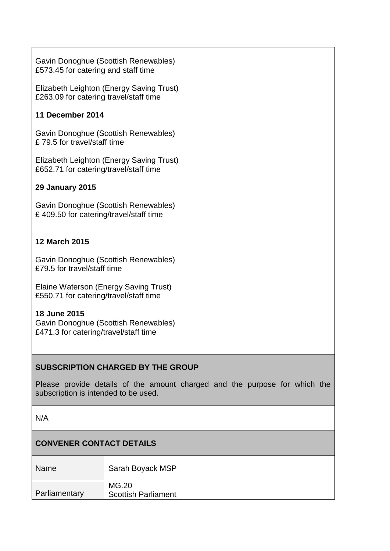Gavin Donoghue (Scottish Renewables) £573.45 for catering and staff time

Elizabeth Leighton (Energy Saving Trust) £263.09 for catering travel/staff time

## **11 December 2014**

Gavin Donoghue (Scottish Renewables) £ 79.5 for travel/staff time

Elizabeth Leighton (Energy Saving Trust) £652.71 for catering/travel/staff time

## **29 January 2015**

Gavin Donoghue (Scottish Renewables) £ 409.50 for catering/travel/staff time

## **12 March 2015**

Gavin Donoghue (Scottish Renewables) £79.5 for travel/staff time

Elaine Waterson (Energy Saving Trust) £550.71 for catering/travel/staff time

### **18 June 2015**

Gavin Donoghue (Scottish Renewables) £471.3 for catering/travel/staff time

### **SUBSCRIPTION CHARGED BY THE GROUP**

Please provide details of the amount charged and the purpose for which the subscription is intended to be used.

N/A

### **CONVENER CONTACT DETAILS**

| <b>Name</b>   | Sarah Boyack MSP                    |
|---------------|-------------------------------------|
| Parliamentary | MG.20<br><b>Scottish Parliament</b> |